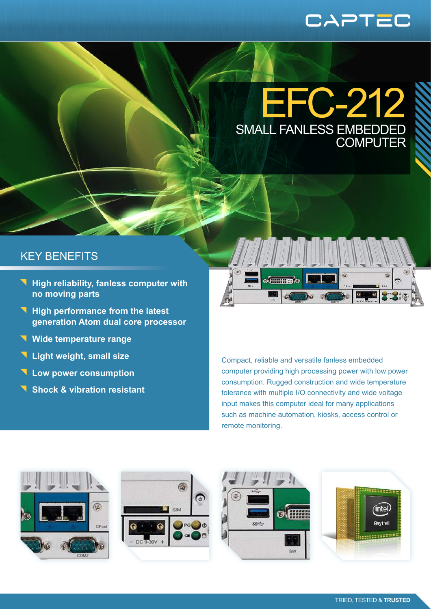# CAPTEC

EFC-212 SMALL FANLESS EMB **COMPUT** 

### KEY BENEFITS

- **High reliability, fanless computer with no moving parts**
- **High performance from the latest generation Atom dual core processor**
- **Wide temperature range**
- **Light weight, small size**
- **Low power consumption**
- **Shock & vibration resistant**



Compact, reliable and versatile fanless embedded computer providing high processing power with low power consumption. Rugged construction and wide temperature tolerance with multiple I/O connectivity and wide voltage input makes this computer ideal for many applications such as machine automation, kiosks, access control or remote monitoring.